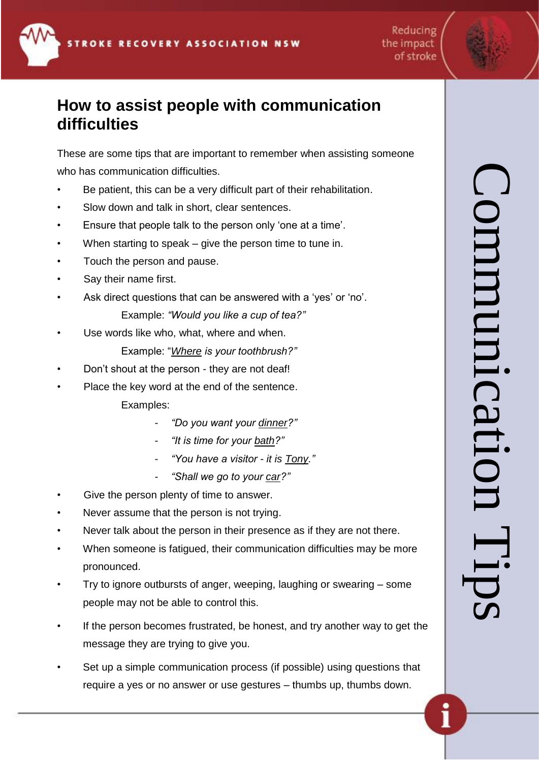Reducing of stroke

# the impact

### **How to assist people with communication difficulties**

These are some tips that are important to remember when assisting someone who has communication difficulties.

- Be patient, this can be a very difficult part of their rehabilitation.
- Slow down and talk in short, clear sentences.
- Ensure that people talk to the person only 'one at a time'.
- When starting to speak  $-$  give the person time to tune in.
- Touch the person and pause.
- Say their name first.
- Ask direct questions that can be answered with a 'yes' or 'no'.

Example: *"Would you like a cup of tea?"*

Use words like who, what, where and when.

Example: "*Where is your toothbrush?"*

- Don't shout at the person they are not deaf!
- Place the key word at the end of the sentence.
	- Examples:
		- *"Do you want your dinner?"*
		- *"It is time for your bath?"*
		- *"You have a visitor - it is Tony."*
		- *"Shall we go to your car?"*
- Give the person plenty of time to answer.
- Never assume that the person is not trying.
- Never talk about the person in their presence as if they are not there.
- When someone is fatigued, their communication difficulties may be more pronounced.
- Try to ignore outbursts of anger, weeping, laughing or swearing some people may not be able to control this.
- If the person becomes frustrated, be honest, and try another way to get the message they are trying to give you.
- Set up a simple communication process (if possible) using questions that require a yes or no answer or use gestures – thumbs up, thumbs down.